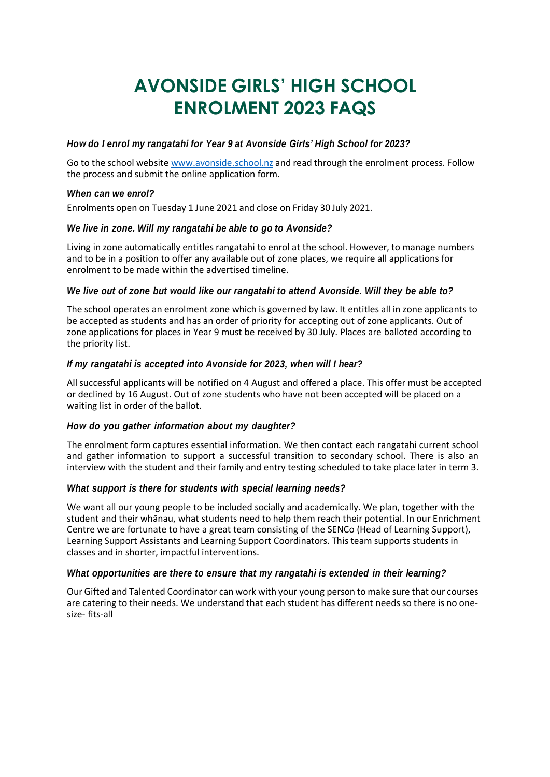# **AVONSIDE GIRLS' HIGH SCHOOL ENROLMENT 2023 FAQS**

#### *How do I enrol my rangatahi for Year 9 at Avonside Girls' High School for 2023?*

Go to the school website [www.avonside.school.nz](http://www.avonside.school.nz/) and read through the enrolment process. Follow the process and submit the online application form.

#### *When can we enrol?*

Enrolments open on Tuesday 1 June 2021 and close on Friday 30 July 2021.

## *We live in zone. Will my rangatahi be able to go to Avonside?*

Living in zone automatically entitles rangatahi to enrol at the school. However, to manage numbers and to be in a position to offer any available out of zone places, we require all applications for enrolment to be made within the advertised timeline.

## *We live out of zone but would like our rangatahi to attend Avonside. Will they be able to?*

The school operates an enrolment zone which is governed by law. It entitles all in zone applicants to be accepted as students and has an order of priority for accepting out of zone applicants. Out of zone applications for places in Year 9 must be received by 30 July. Places are balloted according to the priority list.

## *If my rangatahi is accepted into Avonside for 2023, when will I hear?*

All successful applicants will be notified on 4 August and offered a place. This offer must be accepted or declined by 16 August. Out of zone students who have not been accepted will be placed on a waiting list in order of the ballot.

# *How do you gather information about my daughter?*

The enrolment form captures essential information. We then contact each rangatahi current school and gather information to support a successful transition to secondary school. There is also an interview with the student and their family and entry testing scheduled to take place later in term 3.

# *What support is there for students with special learning needs?*

We want all our young people to be included socially and academically. We plan, together with the student and their whānau, what students need to help them reach their potential. In our Enrichment Centre we are fortunate to have a great team consisting of the SENCo (Head of Learning Support), Learning Support Assistants and Learning Support Coordinators. This team supports students in classes and in shorter, impactful interventions.

#### *What opportunities are there to ensure that my rangatahi is extended in their learning?*

Our Gifted and Talented Coordinator can work with your young person to make sure that our courses are catering to their needs. We understand that each student has different needs so there is no onesize- fits-all